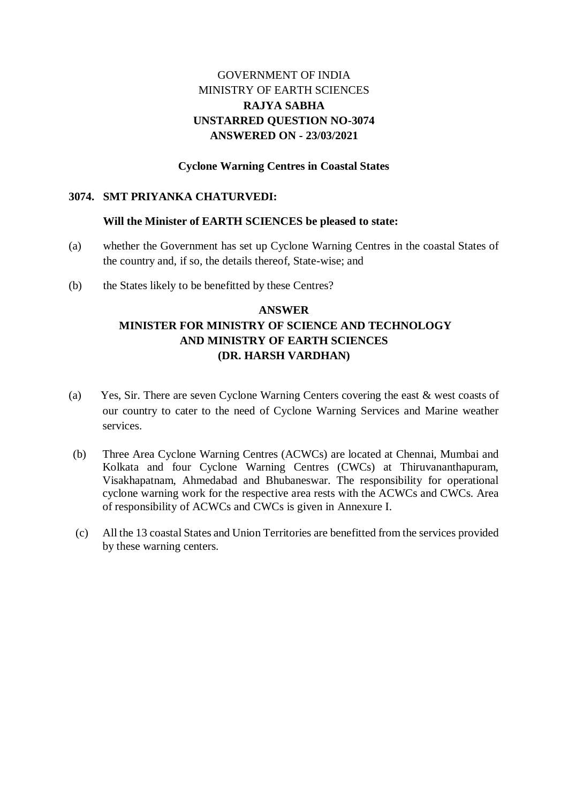## GOVERNMENT OF INDIA MINISTRY OF EARTH SCIENCES **RAJYA SABHA UNSTARRED QUESTION NO-3074 ANSWERED ON - 23/03/2021**

### **Cyclone Warning Centres in Coastal States**

#### **3074. SMT PRIYANKA CHATURVEDI:**

#### **Will the Minister of EARTH SCIENCES be pleased to state:**

- (a) whether the Government has set up Cyclone Warning Centres in the coastal States of the country and, if so, the details thereof, State-wise; and
- (b) the States likely to be benefitted by these Centres?

## **ANSWER MINISTER FOR MINISTRY OF SCIENCE AND TECHNOLOGY AND MINISTRY OF EARTH SCIENCES (DR. HARSH VARDHAN)**

- (a) Yes, Sir. There are seven Cyclone Warning Centers covering the east & west coasts of our country to cater to the need of Cyclone Warning Services and Marine weather services.
- (b) Three Area Cyclone Warning Centres (ACWCs) are located at Chennai, Mumbai and Kolkata and four Cyclone Warning Centres (CWCs) at Thiruvananthapuram, Visakhapatnam, Ahmedabad and Bhubaneswar. The responsibility for operational cyclone warning work for the respective area rests with the ACWCs and CWCs. Area of responsibility of ACWCs and CWCs is given in Annexure I.
- (c) All the 13 coastal States and Union Territories are benefitted from the services provided by these warning centers.